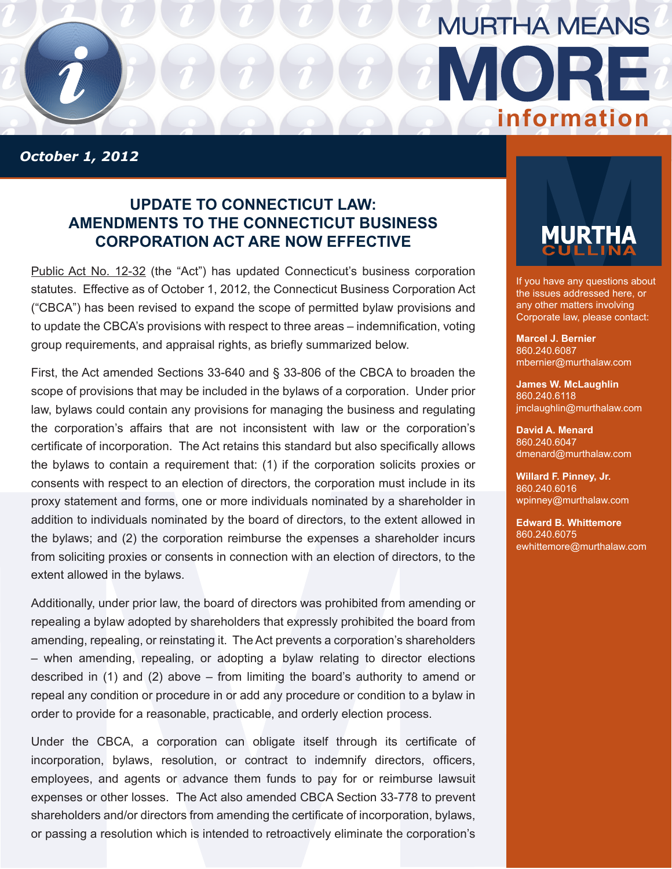

*October 1, 2012*

## **Update to connecticut law: Amendments to the Connecticut Business Corporation Act Are Now Effective**

[Public Act No. 12-32](http://www.cga.ct.gov/2012/ACT/Pa/pdf/2012PA-00032-R00HB-05073-PA.pdf) (the "Act") has updated Connecticut's business corporation statutes. Effective as of October 1, 2012, the Connecticut Business Corporation Act ("CBCA") has been revised to expand the scope of permitted bylaw provisions and to update the CBCA's provisions with respect to three areas – indemnification, voting group requirements, and appraisal rights, as briefly summarized below.

First, the Act amended Sections 33-640 and § 33-806 of the CBCA to broaden the scope of provisions that may be included in the bylaws of a corporation. Under prior law, bylaws could contain any provisions for managing the business and regulating the corporation's affairs that are not inconsistent with law or the corporation's certificate of incorporation. The Act retains this standard but also specifically allows the bylaws to contain a requirement that: (1) if the corporation solicits proxies or consents with respect to an election of directors, the corporation must include in its proxy statement and forms, one or more individuals nominated by a shareholder in addition to individuals nominated by the board of directors, to the extent allowed in the bylaws; and (2) the corporation reimburse the expenses a shareholder incurs from soliciting proxies or consents in connection with an election of directors, to the extent allowed in the bylaws.

Additionally, under prior law, the board of directors was prohibited from amending or repealing a bylaw adopted by shareholders that expressly prohibited the board from amending, repealing, or reinstating it. The Act prevents a corporation's shareholders – when amending, repealing, or adopting a bylaw relating to director elections described in (1) and (2) above – from limiting the board's authority to amend or repeal any condition or procedure in or add any procedure or condition to a bylaw in order to provide for a reasonable, practicable, and orderly election process.

Under the CBCA, a corporation can obligate itself through its certificate of incorporation, bylaws, resolution, or contract to indemnify directors, officers, employees, and agents or advance them funds to pay for or reimburse lawsuit expenses or other losses. The Act also amended CBCA Section 33-778 to prevent shareholders and/or directors from amending the certificate of incorporation, bylaws, or passing a resolution which is intended to retroactively eliminate the corporation's



If you have any questions about the issues addressed here, or any other matters involving Corporate law, please contact:

**Marcel J. Bernier** 860.240.6087 mbernier@murthalaw.com

**James W. McLaughlin** 860.240.6118 jmclaughlin@murthalaw.com

**David A. Menard** 860.240.6047 dmenard@murthalaw.com

**Willard F. Pinney, Jr.** 860.240.6016 wpinney@murthalaw.com

**Edward B. Whittemore** 860.240.6075 ewhittemore@murthalaw.com